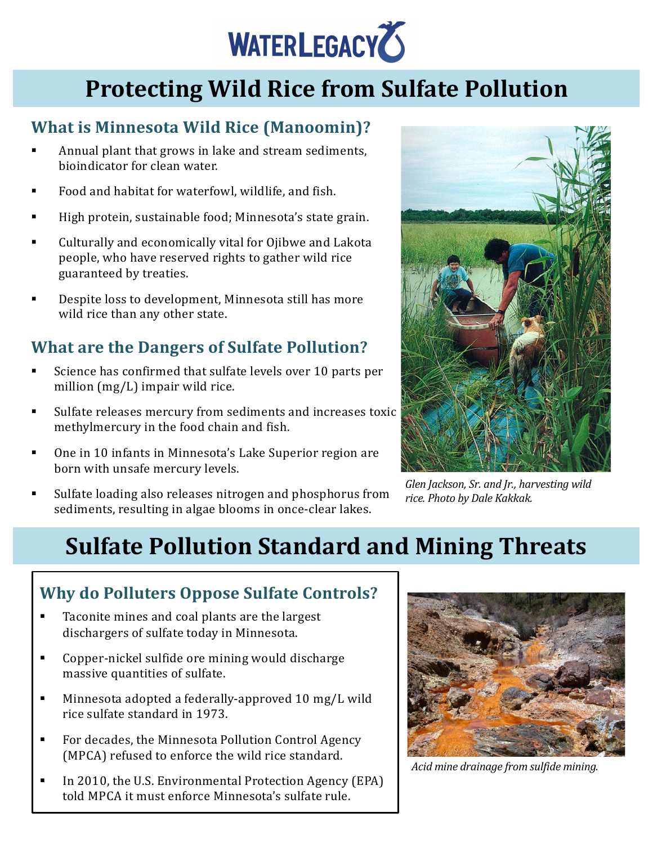

## **Protecting Wild Rice from Sulfate Pollution**

#### **What is Minnesota Wild Rice (Manoomin)?**

- Annual plant that grows in lake and stream sediments, bioindicator for clean water.
- Food and habitat for waterfowl, wildlife, and fish.
- High protein, sustainable food; Minnesota's state grain.
- Culturally and economically vital for Ojibwe and Lakota people, who have reserved rights to gather wild rice guaranteed by treaties.
- Despite loss to development, Minnesota still has more wild rice than any other state.

### **What are the Dangers of Sulfate Pollution?**

- Science has confirmed that sulfate levels over 10 parts per million  $(mg/L)$  impair wild rice.
- Sulfate releases mercury from sediments and increases toxic methylmercury in the food chain and fish.
- One in 10 infants in Minnesota's Lake Superior region are born with unsafe mercury levels.



Glen Jackson, Sr. and Jr., harvesting wild *rice. Photo by Dale Kakkak.*

Sulfate loading also releases nitrogen and phosphorus from sediments, resulting in algae blooms in once-clear lakes.

# **Sulfate Pollution Standard and Mining Threats**

### **Why do Polluters Oppose Sulfate Controls?**

- Taconite mines and coal plants are the largest dischargers of sulfate today in Minnesota.
- Copper-nickel sulfide ore mining would discharge massive quantities of sulfate.
- Minnesota adopted a federally-approved 10 mg/L wild rice sulfate standard in 1973.
- For decades, the Minnesota Pollution Control Agency (MPCA) refused to enforce the wild rice standard.
- In 2010, the U.S. Environmental Protection Agency (EPA) told MPCA it must enforce Minnesota's sulfate rule.



*Acid mine drainage from sulfide mining.*